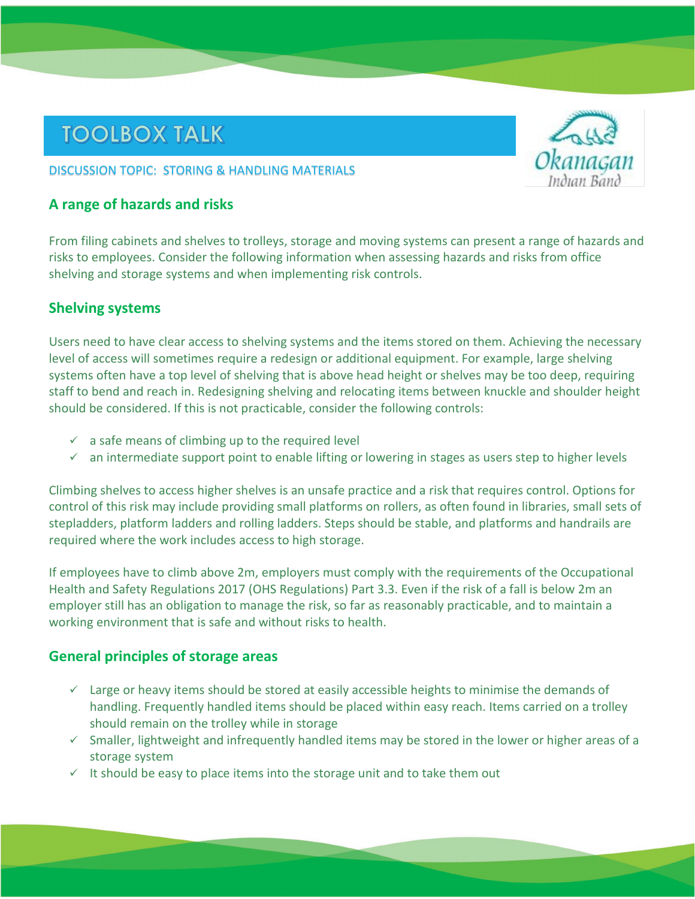# **TOOLBOX TALK**

#### DISCUSSION TOPIC: STORING & HANDLING MATERIALS

## **A range of hazards and risks**

From filing cabinets and shelves to trolleys, storage and moving systems can present a range of hazards and risks to employees. Consider the following information when assessing hazards and risks from office shelving and storage systems and when implementing risk controls.

#### **Shelving systems**

Users need to have clear access to shelving systems and the items stored on them. Achieving the necessary level of access will sometimes require a redesign or additional equipment. For example, large shelving systems often have a top level of shelving that is above head height or shelves may be too deep, requiring staff to bend and reach in. Redesigning shelving and relocating items between knuckle and shoulder height should be considered. If this is not practicable, consider the following controls:

- $\checkmark$  a safe means of climbing up to the required level
- $\checkmark$  an intermediate support point to enable lifting or lowering in stages as users step to higher levels

Climbing shelves to access higher shelves is an unsafe practice and a risk that requires control. Options for control of this risk may include providing small platforms on rollers, as often found in libraries, small sets of stepladders, platform ladders and rolling ladders. Steps should be stable, and platforms and handrails are required where the work includes access to high storage.

If employees have to climb above 2m, employers must comply with the requirements of the Occupational Health and Safety Regulations 2017 (OHS Regulations) Part 3.3. Even if the risk of a fall is below 2m an employer still has an obligation to manage the risk, so far as reasonably practicable, and to maintain a working environment that is safe and without risks to health.

#### **General principles of storage areas**

- $\checkmark$  Large or heavy items should be stored at easily accessible heights to minimise the demands of handling. Frequently handled items should be placed within easy reach. Items carried on a trolley should remain on the trolley while in storage
- $\checkmark$  Smaller, lightweight and infrequently handled items may be stored in the lower or higher areas of a storage system
- $\checkmark$  It should be easy to place items into the storage unit and to take them out